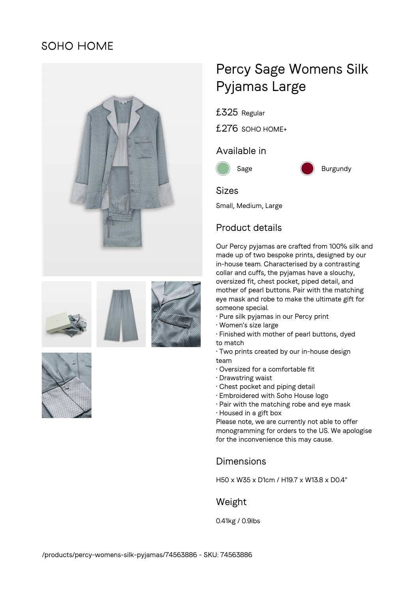## **SOHO HOME**



# Percy Sage Womens Silk Pyjamas Large

£325 Regular

£276 SOHO HOME+

### Available in



### Sizes

Small, Medium, Large

## Product details

Our Percy pyjamas are crafted from 100% silk and made up of two bespoke prints, designed by our in-house team. Characterised by a contrasting collar and cuffs, the pyjamas have a slouchy, oversized fit, chest pocket, piped detail, and mother of pearl buttons. Pair with the matching eye mask and robe to make the ultimate gift for someone special.

- Pure silk pyjamas in our Percy print
- Women's size large
- Finished with mother of pearl buttons, dyed to match
- Two prints created by our in-house design team
- Oversized for a comfortable fit
- Drawstring waist
- Chest pocket and piping detail
- Embroidered with Soho House logo
- Pair with the matching robe and eye mask
- Housed in a gift box

Please note, we are currently not able to offer monogramming for orders to the US. We apologise for the inconvenience this may cause.

#### Dimensions

H50 x W35 x D1cm / H19.7 x W13.8 x D0.4"

## Weight

0.41kg / 0.9lbs